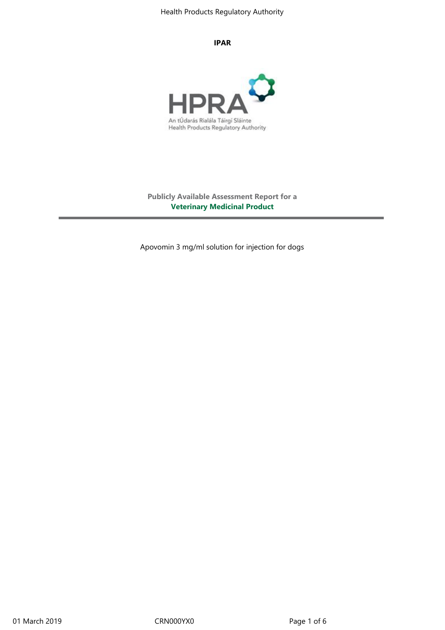#### **IPAR**



**Publicly Available Assessment Report for a Veterinary Medicinal Product**

Apovomin 3 mg/ml solution for injection for dogs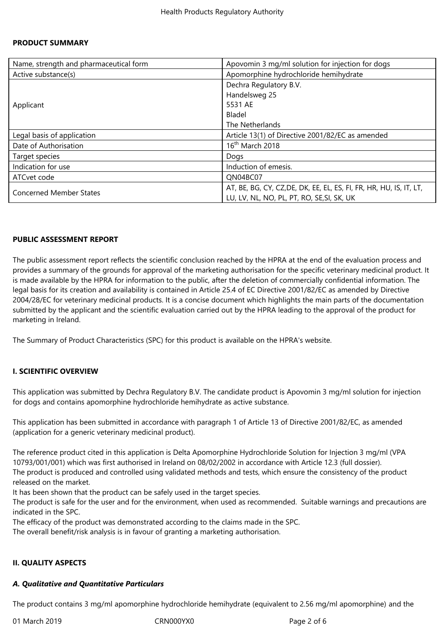### **PRODUCT SUMMARY**

| Name, strength and pharmaceutical form | Apovomin 3 mg/ml solution for injection for dogs                    |
|----------------------------------------|---------------------------------------------------------------------|
| Active substance(s)                    | Apomorphine hydrochloride hemihydrate                               |
| Applicant                              | Dechra Regulatory B.V.                                              |
|                                        | Handelsweg 25                                                       |
|                                        | 5531 AE                                                             |
|                                        | Bladel                                                              |
|                                        | The Netherlands                                                     |
| Legal basis of application             | Article 13(1) of Directive 2001/82/EC as amended                    |
| Date of Authorisation                  | 16 <sup>th</sup> March 2018                                         |
| Target species                         | Dogs                                                                |
| Indication for use                     | Induction of emesis.                                                |
| ATCvet code                            | QN04BC07                                                            |
| <b>Concerned Member States</b>         | AT, BE, BG, CY, CZ, DE, DK, EE, EL, ES, FI, FR, HR, HU, IS, IT, LT, |
|                                        | LU, LV, NL, NO, PL, PT, RO, SE, SI, SK, UK                          |

### **PUBLIC ASSESSMENT REPORT**

The public assessment report reflects the scientific conclusion reached by the HPRA at the end of the evaluation process and provides a summary of the grounds for approval of the marketing authorisation for the specific veterinary medicinal product. It is made available by the HPRA for information to the public, after the deletion of commercially confidential information. The legal basis for its creation and availability is contained in Article 25.4 of EC Directive 2001/82/EC as amended by Directive 2004/28/EC for veterinary medicinal products. It is a concise document which highlights the main parts of the documentation submitted by the applicant and the scientific evaluation carried out by the HPRA leading to the approval of the product for marketing in Ireland.

The Summary of Product Characteristics (SPC) for this product is available on the HPRA's website.

### **I. SCIENTIFIC OVERVIEW**

This application was submitted by Dechra Regulatory B.V. The candidate product is Apovomin 3 mg/ml solution for injection for dogs and contains apomorphine hydrochloride hemihydrate as active substance.

This application has been submitted in accordance with paragraph 1 of Article 13 of Directive 2001/82/EC, as amended (application for a generic veterinary medicinal product).

The reference product cited in this application is Delta Apomorphine Hydrochloride Solution for Injection 3 mg/ml (VPA 10793/001/001) which was first authorised in Ireland on 08/02/2002 in accordance with Article 12.3 (full dossier). The product is produced and controlled using validated methods and tests, which ensure the consistency of the product released on the market.

It has been shown that the product can be safely used in the target species.

The product is safe for the user and for the environment, when used as recommended. Suitable warnings and precautions are indicated in the SPC.

The efficacy of the product was demonstrated according to the claims made in the SPC.

The overall benefit/risk analysis is in favour of granting a marketing authorisation.

#### **II. QUALITY ASPECTS**

#### *A. Qualitative and Quantitative Particulars*

The product contains 3 mg/ml apomorphine hydrochloride hemihydrate (equivalent to 2.56 mg/ml apomorphine) and the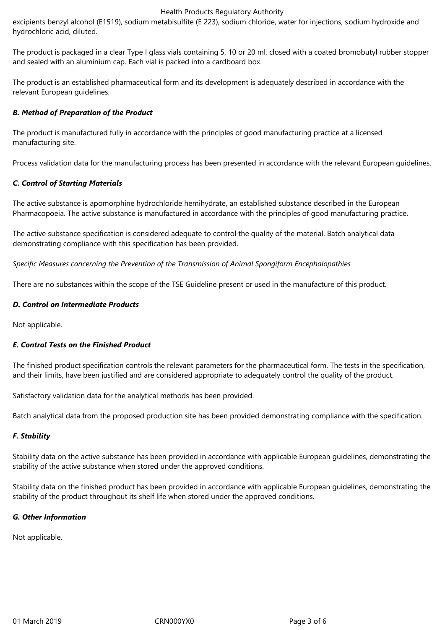Health Products Regulatory Authority

excipients benzyl alcohol (E1519), sodium metabisulfite (E 223), sodium chloride, water for injections, sodium hydroxide and hydrochloric acid, diluted.

The product is packaged in a clear Type I glass vials containing 5, 10 or 20 ml, closed with a coated bromobutyl rubber stopper and sealed with an aluminium cap. Each vial is packed into a cardboard box.

The product is an established pharmaceutical form and its development is adequately described in accordance with the relevant European guidelines.

# *B. Method of Preparation of the Product*

The product is manufactured fully in accordance with the principles of good manufacturing practice at a licensed manufacturing site.

Process validation data for the manufacturing process has been presented in accordance with the relevant European guidelines.

# *C. Control of Starting Materials*

The active substance is apomorphine hydrochloride hemihydrate, an established substance described in the European Pharmacopoeia. The active substance is manufactured in accordance with the principles of good manufacturing practice.

The active substance specification is considered adequate to control the quality of the material. Batch analytical data demonstrating compliance with this specification has been provided.

*Specific Measures concerning the Prevention of the Transmission of Animal Spongiform Encephalopathies*

There are no substances within the scope of the TSE Guideline present or used in the manufacture of this product.

## *D. Control on Intermediate Products*

Not applicable.

### *E. Control Tests on the Finished Product*

The finished product specification controls the relevant parameters for the pharmaceutical form. The tests in the specification, and their limits, have been justified and are considered appropriate to adequately control the quality of the product.

Satisfactory validation data for the analytical methods has been provided.

Batch analytical data from the proposed production site has been provided demonstrating compliance with the specification.

# *F. Stability*

Stability data on the active substance has been provided in accordance with applicable European guidelines, demonstrating the stability of the active substance when stored under the approved conditions.

Stability data on the finished product has been provided in accordance with applicable European guidelines, demonstrating the stability of the product throughout its shelf life when stored under the approved conditions.

### *G. Other Information*

Not applicable.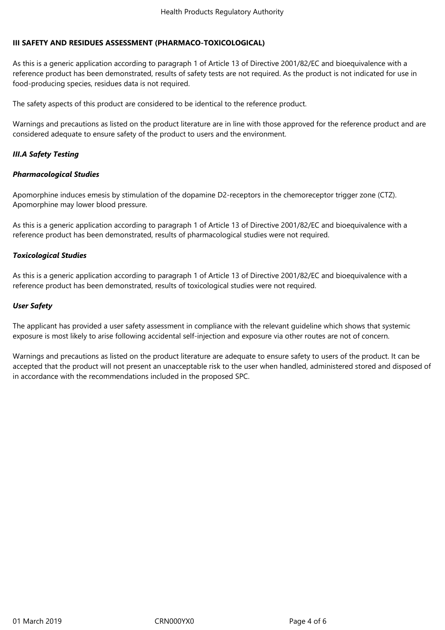# **III SAFETY AND RESIDUES ASSESSMENT (PHARMACO-TOXICOLOGICAL)**

As this is a generic application according to paragraph 1 of Article 13 of Directive 2001/82/EC and bioequivalence with a reference product has been demonstrated, results of safety tests are not required. As the product is not indicated for use in food-producing species, residues data is not required.

The safety aspects of this product are considered to be identical to the reference product.

Warnings and precautions as listed on the product literature are in line with those approved for the reference product and are considered adequate to ensure safety of the product to users and the environment.

# *III.A Safety Testing*

## *Pharmacological Studies*

Apomorphine induces emesis by stimulation of the dopamine D2-receptors in the chemoreceptor trigger zone (CTZ). Apomorphine may lower blood pressure.

As this is a generic application according to paragraph 1 of Article 13 of Directive 2001/82/EC and bioequivalence with a reference product has been demonstrated, results of pharmacological studies were not required.

## *Toxicological Studies*

As this is a generic application according to paragraph 1 of Article 13 of Directive 2001/82/EC and bioequivalence with a reference product has been demonstrated, results of toxicological studies were not required.

## *User Safety*

The applicant has provided a user safety assessment in compliance with the relevant guideline which shows that systemic exposure is most likely to arise following accidental self-injection and exposure via other routes are not of concern.

Warnings and precautions as listed on the product literature are adequate to ensure safety to users of the product. It can be accepted that the product will not present an unacceptable risk to the user when handled, administered stored and disposed of in accordance with the recommendations included in the proposed SPC.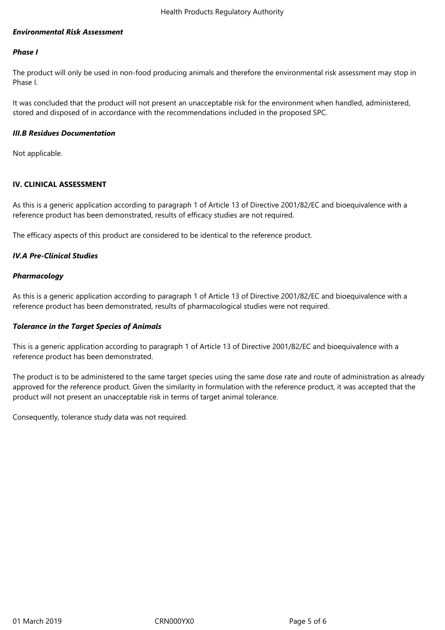### *Environmental Risk Assessment*

### *Phase I*

The product will only be used in non-food producing animals and therefore the environmental risk assessment may stop in Phase I.

It was concluded that the product will not present an unacceptable risk for the environment when handled, administered, stored and disposed of in accordance with the recommendations included in the proposed SPC.

#### *III.B Residues Documentation*

Not applicable.

### **IV. CLINICAL ASSESSMENT**

As this is a generic application according to paragraph 1 of Article 13 of Directive 2001/82/EC and bioequivalence with a reference product has been demonstrated, results of efficacy studies are not required.

The efficacy aspects of this product are considered to be identical to the reference product.

### *IV.A Pre-Clinical Studies*

### *Pharmacology*

As this is a generic application according to paragraph 1 of Article 13 of Directive 2001/82/EC and bioequivalence with a reference product has been demonstrated, results of pharmacological studies were not required.

### *Tolerance in the Target Species of Animals*

This is a generic application according to paragraph 1 of Article 13 of Directive 2001/82/EC and bioequivalence with a reference product has been demonstrated.

The product is to be administered to the same target species using the same dose rate and route of administration as already approved for the reference product. Given the similarity in formulation with the reference product, it was accepted that the product will not present an unacceptable risk in terms of target animal tolerance.

Consequently, tolerance study data was not required.